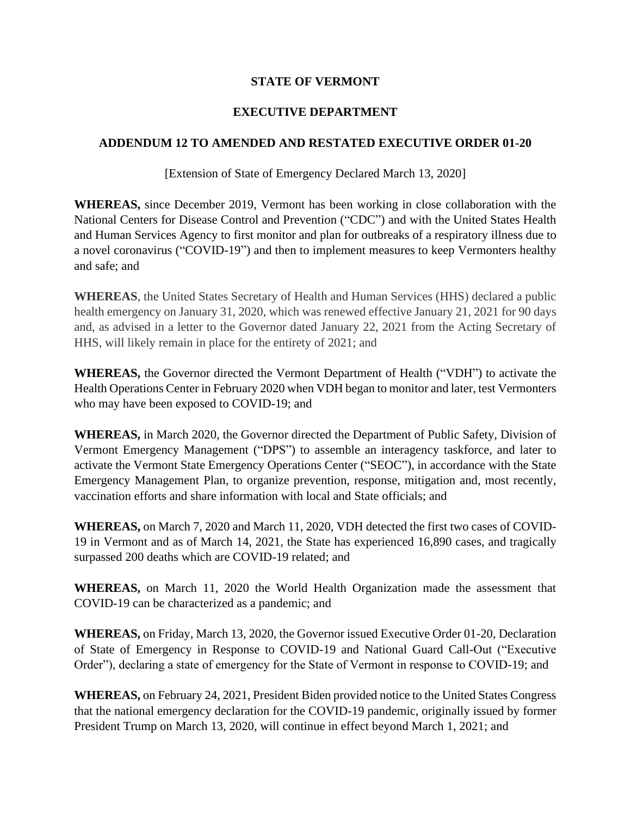## **STATE OF VERMONT**

## **EXECUTIVE DEPARTMENT**

## **ADDENDUM 12 TO AMENDED AND RESTATED EXECUTIVE ORDER 01-20**

[Extension of State of Emergency Declared March 13, 2020]

**WHEREAS,** since December 2019, Vermont has been working in close collaboration with the National Centers for Disease Control and Prevention ("CDC") and with the United States Health and Human Services Agency to first monitor and plan for outbreaks of a respiratory illness due to a novel coronavirus ("COVID-19") and then to implement measures to keep Vermonters healthy and safe; and

**WHEREAS**, the United States Secretary of Health and Human Services (HHS) declared a public health emergency on January 31, 2020, which was renewed effective January 21, 2021 for 90 days and, as advised in a letter to the Governor dated January 22, 2021 from the Acting Secretary of HHS, will likely remain in place for the entirety of 2021; and

**WHEREAS,** the Governor directed the Vermont Department of Health ("VDH") to activate the Health Operations Center in February 2020 when VDH began to monitor and later, test Vermonters who may have been exposed to COVID-19; and

**WHEREAS,** in March 2020, the Governor directed the Department of Public Safety, Division of Vermont Emergency Management ("DPS") to assemble an interagency taskforce, and later to activate the Vermont State Emergency Operations Center ("SEOC"), in accordance with the State Emergency Management Plan, to organize prevention, response, mitigation and, most recently, vaccination efforts and share information with local and State officials; and

**WHEREAS,** on March 7, 2020 and March 11, 2020, VDH detected the first two cases of COVID-19 in Vermont and as of March 14, 2021, the State has experienced 16,890 cases, and tragically surpassed 200 deaths which are COVID-19 related; and

**WHEREAS,** on March 11, 2020 the World Health Organization made the assessment that COVID-19 can be characterized as a pandemic; and

**WHEREAS,** on Friday, March 13, 2020, the Governor issued Executive Order 01-20, Declaration of State of Emergency in Response to COVID-19 and National Guard Call-Out ("Executive Order"), declaring a state of emergency for the State of Vermont in response to COVID-19; and

**WHEREAS,** on February 24, 2021, President Biden provided notice to the United States Congress that the national emergency declaration for the COVID-19 pandemic, originally issued by former President Trump on March 13, 2020, will continue in effect beyond March 1, 2021; and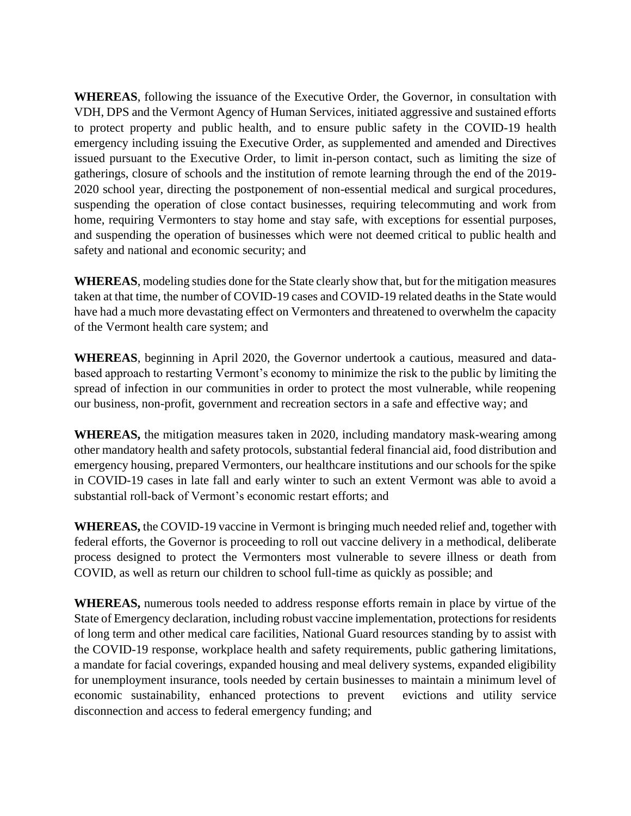**WHEREAS**, following the issuance of the Executive Order, the Governor, in consultation with VDH, DPS and the Vermont Agency of Human Services, initiated aggressive and sustained efforts to protect property and public health, and to ensure public safety in the COVID-19 health emergency including issuing the Executive Order, as supplemented and amended and Directives issued pursuant to the Executive Order, to limit in-person contact, such as limiting the size of gatherings, closure of schools and the institution of remote learning through the end of the 2019- 2020 school year, directing the postponement of non-essential medical and surgical procedures, suspending the operation of close contact businesses, requiring telecommuting and work from home, requiring Vermonters to stay home and stay safe, with exceptions for essential purposes, and suspending the operation of businesses which were not deemed critical to public health and safety and national and economic security; and

**WHEREAS**, modeling studies done for the State clearly show that, but for the mitigation measures taken at that time, the number of COVID-19 cases and COVID-19 related deaths in the State would have had a much more devastating effect on Vermonters and threatened to overwhelm the capacity of the Vermont health care system; and

**WHEREAS**, beginning in April 2020, the Governor undertook a cautious, measured and databased approach to restarting Vermont's economy to minimize the risk to the public by limiting the spread of infection in our communities in order to protect the most vulnerable, while reopening our business, non-profit, government and recreation sectors in a safe and effective way; and

**WHEREAS,** the mitigation measures taken in 2020, including mandatory mask-wearing among other mandatory health and safety protocols, substantial federal financial aid, food distribution and emergency housing, prepared Vermonters, our healthcare institutions and our schools for the spike in COVID-19 cases in late fall and early winter to such an extent Vermont was able to avoid a substantial roll-back of Vermont's economic restart efforts; and

**WHEREAS,** the COVID-19 vaccine in Vermont is bringing much needed relief and, together with federal efforts, the Governor is proceeding to roll out vaccine delivery in a methodical, deliberate process designed to protect the Vermonters most vulnerable to severe illness or death from COVID, as well as return our children to school full-time as quickly as possible; and

**WHEREAS,** numerous tools needed to address response efforts remain in place by virtue of the State of Emergency declaration, including robust vaccine implementation, protections for residents of long term and other medical care facilities, National Guard resources standing by to assist with the COVID-19 response, workplace health and safety requirements, public gathering limitations, a mandate for facial coverings, expanded housing and meal delivery systems, expanded eligibility for unemployment insurance, tools needed by certain businesses to maintain a minimum level of economic sustainability, enhanced protections to prevent evictions and utility service disconnection and access to federal emergency funding; and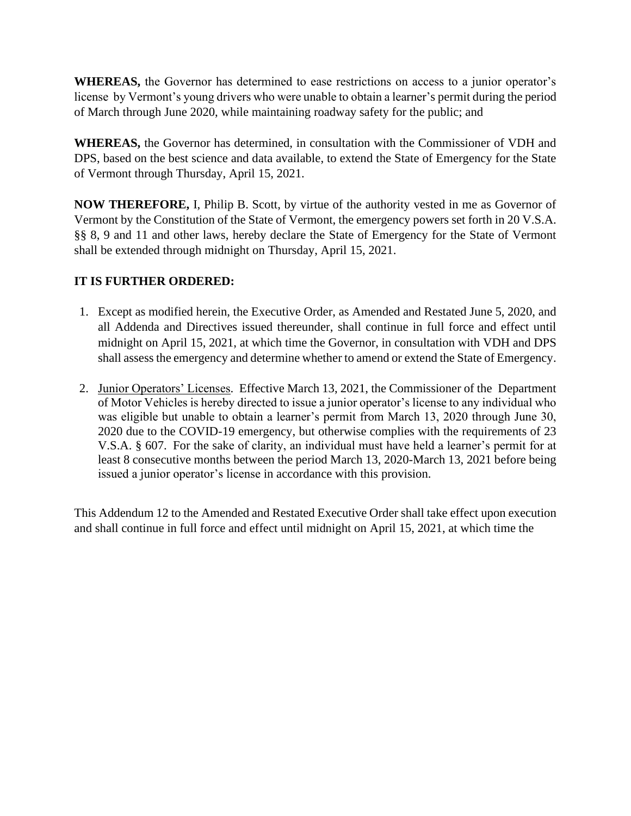**WHEREAS,** the Governor has determined to ease restrictions on access to a junior operator's license by Vermont's young drivers who were unable to obtain a learner's permit during the period of March through June 2020, while maintaining roadway safety for the public; and

**WHEREAS,** the Governor has determined, in consultation with the Commissioner of VDH and DPS, based on the best science and data available, to extend the State of Emergency for the State of Vermont through Thursday, April 15, 2021.

**NOW THEREFORE,** I, Philip B. Scott, by virtue of the authority vested in me as Governor of Vermont by the Constitution of the State of Vermont, the emergency powers set forth in 20 V.S.A. §§ 8, 9 and 11 and other laws, hereby declare the State of Emergency for the State of Vermont shall be extended through midnight on Thursday, April 15, 2021.

## **IT IS FURTHER ORDERED:**

- 1. Except as modified herein, the Executive Order, as Amended and Restated June 5, 2020, and all Addenda and Directives issued thereunder, shall continue in full force and effect until midnight on April 15, 2021, at which time the Governor, in consultation with VDH and DPS shall assess the emergency and determine whether to amend or extend the State of Emergency.
- 2. Junior Operators' Licenses. Effective March 13, 2021, the Commissioner of the Department of Motor Vehicles is hereby directed to issue a junior operator's license to any individual who was eligible but unable to obtain a learner's permit from March 13, 2020 through June 30, 2020 due to the COVID-19 emergency, but otherwise complies with the requirements of 23 V.S.A. § 607. For the sake of clarity, an individual must have held a learner's permit for at least 8 consecutive months between the period March 13, 2020-March 13, 2021 before being issued a junior operator's license in accordance with this provision.

This Addendum 12 to the Amended and Restated Executive Order shall take effect upon execution and shall continue in full force and effect until midnight on April 15, 2021, at which time the